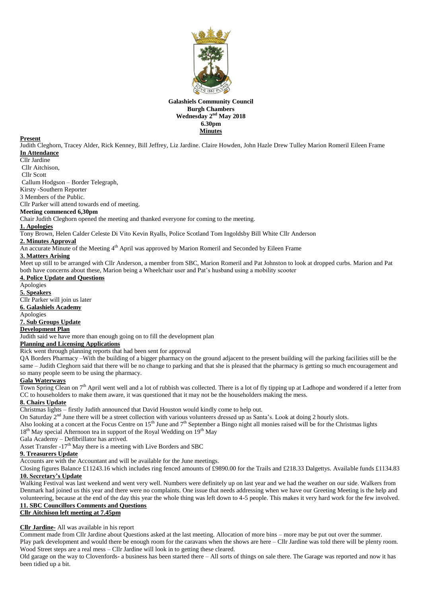

### **Galashiels Community Council Burgh Chambers** Wednesday 2<sup>nd</sup> May 2018 **6.30pm Minutes**

#### **Present**

Judith Cleghorn, Tracey Alder, Rick Kenney, Bill Jeffrey, Liz Jardine. Claire Howden, John Hazle Drew Tulley Marion Romeril Eileen Frame **In Attendance**

#### Cllr Jardine

Cllr Aitchison,

Cllr Scott

Callum Hodgson – Border Telegraph,

Kirsty -Southern Reporter

3 Members of the Public.

Cllr Parker will attend towards end of meeting.

# **Meeting commenced 6,30pm**

Chair Judith Cleghorn opened the meeting and thanked everyone for coming to the meeting.

#### **1. Apologies**

Tony Brown, Helen Calder Celeste Di Vito Kevin Ryalls, Police Scotland Tom Ingoldsby Bill White Cllr Anderson

## **2. Minutes Approval**

An accurate Minute of the Meeting 4<sup>th</sup> April was approved by Marion Romeril and Seconded by Eileen Frame

# **3. Matters Arising**

Meet up still to be arranged with Cllr Anderson, a member from SBC, Marion Romeril and Pat Johnston to look at dropped curbs. Marion and Pat both have concerns about these, Marion being a Wheelchair user and Pat's husband using a mobility scooter

#### **4. Police Update and Questions**

Apologies **5. Speakers** Cllr Parker will join us later **6. Galashiels Academy** Apologies

# **7. Sub Groups Update**

**Development Plan**

Judith said we have more than enough going on to fill the development plan

## **Planning and Licensing Applications**

Rick went through planning reports that had been sent for approval

QA Borders Pharmacy –With the building of a bigger pharmacy on the ground adjacent to the present building will the parking facilities still be the same – Judith Cleghorn said that there will be no change to parking and that she is pleased that the pharmacy is getting so much encouragement and so many people seem to be using the pharmacy.

#### **Gala Waterways**

Town Spring Clean on  $7<sup>th</sup>$  April went well and a lot of rubbish was collected. There is a lot of fly tipping up at Ladhope and wondered if a letter from CC to householders to make them aware, it was questioned that it may not be the householders making the mess.

# **8. Chairs Update**

Christmas lights – firstly Judith announced that David Houston would kindly come to help out.

On Saturday 2<sup>nd</sup> June there will be a street collection with various volunteers dressed up as Santa's. Look at doing 2 hourly slots.

Also looking at a concert at the Focus Centre on  $15<sup>th</sup>$  June and  $7<sup>th</sup>$  September a Bingo night all monies raised will be for the Christmas lights

 $18<sup>th</sup>$  May special Afternoon tea in support of the Royal Wedding on  $19<sup>th</sup>$  May

Gala Academy – Defibrillator has arrived.

Asset Transfer  $-17<sup>th</sup>$  May there is a meeting with Live Borders and SBC

# **9. Treasurers Update**

Accounts are with the Accountant and will be available for the June meetings.

Closing figures Balance £11243.16 which includes ring fenced amounts of £9890.00 for the Trails and £218.33 Dalgettys. Available funds £1134.83 **10. Secretary's Update** 

Walking Festival was last weekend and went very well. Numbers were definitely up on last year and we had the weather on our side. Walkers from Denmark had joined us this year and there were no complaints. One issue that needs addressing when we have our Greeting Meeting is the help and volunteering, because at the end of the day this year the whole thing was left down to 4-5 people. This makes it very hard work for the few involved. **11. SBC Councillors Comments and Questions**

# **Cllr Aitchison left meeting at 7.45pm**

#### **Cllr Jardine-** All was available in his report

Comment made from Cllr Jardine about Questions asked at the last meeting. Allocation of more bins – more may be put out over the summer. Play park development and would there be enough room for the caravans when the shows are here – Cllr Jardine was told there will be plenty room. Wood Street steps are a real mess – Cllr Jardine will look in to getting these cleared.

Old garage on the way to Clovenfords- a business has been started there – All sorts of things on sale there. The Garage was reported and now it has been tidied up a bit.